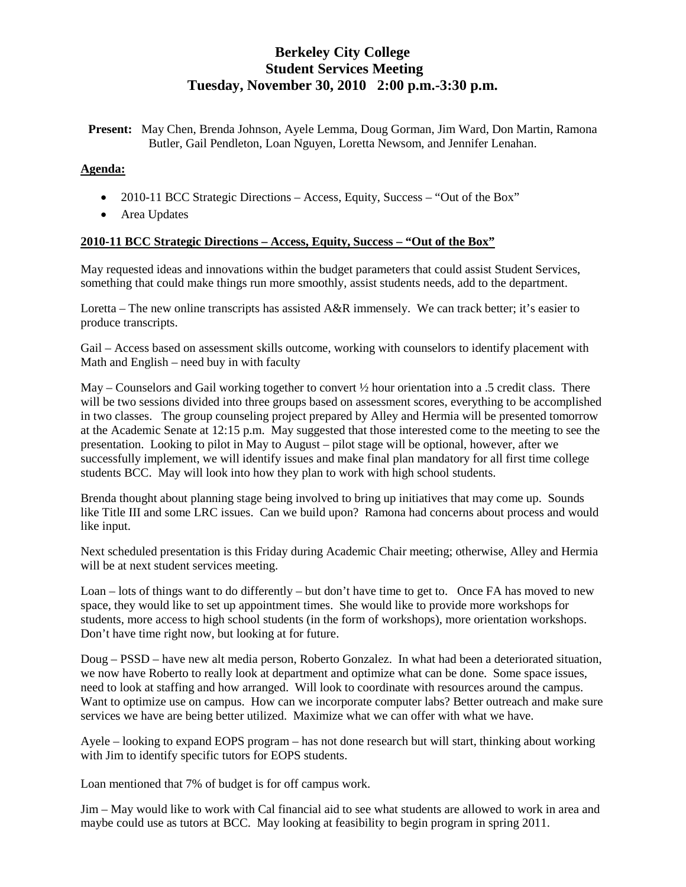# **Berkeley City College Student Services Meeting Tuesday, November 30, 2010 2:00 p.m.-3:30 p.m.**

**Present:** May Chen, Brenda Johnson, Ayele Lemma, Doug Gorman, Jim Ward, Don Martin, Ramona Butler, Gail Pendleton, Loan Nguyen, Loretta Newsom, and Jennifer Lenahan.

### **Agenda:**

- 2010-11 BCC Strategic Directions Access, Equity, Success "Out of the Box"
- Area Updates

#### **2010-11 BCC Strategic Directions – Access, Equity, Success – "Out of the Box"**

May requested ideas and innovations within the budget parameters that could assist Student Services, something that could make things run more smoothly, assist students needs, add to the department.

Loretta – The new online transcripts has assisted A&R immensely. We can track better; it's easier to produce transcripts.

Gail – Access based on assessment skills outcome, working with counselors to identify placement with Math and English – need buy in with faculty

May – Counselors and Gail working together to convert  $\frac{1}{2}$  hour orientation into a .5 credit class. There will be two sessions divided into three groups based on assessment scores, everything to be accomplished in two classes. The group counseling project prepared by Alley and Hermia will be presented tomorrow at the Academic Senate at 12:15 p.m. May suggested that those interested come to the meeting to see the presentation. Looking to pilot in May to August – pilot stage will be optional, however, after we successfully implement, we will identify issues and make final plan mandatory for all first time college students BCC. May will look into how they plan to work with high school students.

Brenda thought about planning stage being involved to bring up initiatives that may come up. Sounds like Title III and some LRC issues. Can we build upon? Ramona had concerns about process and would like input.

Next scheduled presentation is this Friday during Academic Chair meeting; otherwise, Alley and Hermia will be at next student services meeting.

Loan – lots of things want to do differently – but don't have time to get to. Once FA has moved to new space, they would like to set up appointment times. She would like to provide more workshops for students, more access to high school students (in the form of workshops), more orientation workshops. Don't have time right now, but looking at for future.

Doug – PSSD – have new alt media person, Roberto Gonzalez. In what had been a deteriorated situation, we now have Roberto to really look at department and optimize what can be done. Some space issues, need to look at staffing and how arranged. Will look to coordinate with resources around the campus. Want to optimize use on campus. How can we incorporate computer labs? Better outreach and make sure services we have are being better utilized. Maximize what we can offer with what we have.

Ayele – looking to expand EOPS program – has not done research but will start, thinking about working with Jim to identify specific tutors for EOPS students.

Loan mentioned that 7% of budget is for off campus work.

Jim – May would like to work with Cal financial aid to see what students are allowed to work in area and maybe could use as tutors at BCC. May looking at feasibility to begin program in spring 2011.